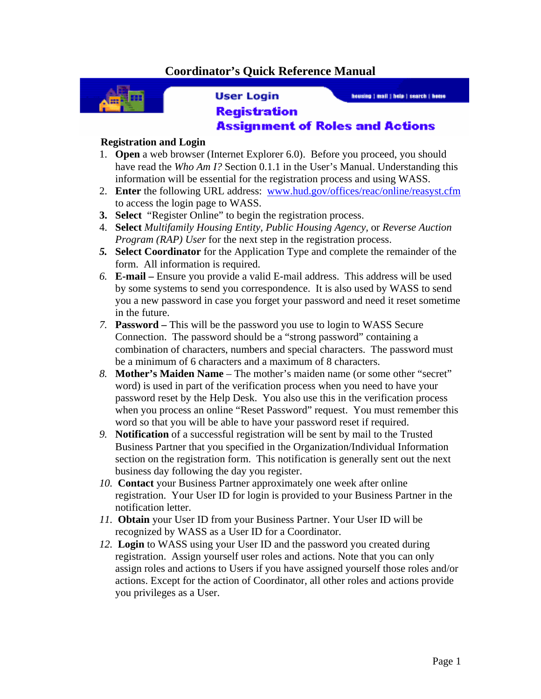## **Coordinator's Quick Reference Manual**



**User Login** 

housing | mail | hole | search | home

## **Registration Assignment of Roles and Actions**

## **Registration and Login**

- 1. **Open** a web browser (Internet Explorer 6.0). Before you proceed, you should have read the *Who Am I?* Section 0.1.1 in the User's Manual. Understanding this information will be essential for the registration process and using WASS.
- 2. **Enter** the following URL address: www.hud.gov/offices/reac/online/reasyst.cfm to access the login page to WASS.
- **3. Select** "Register Online" to begin the registration process.
- 4. **Select** *Multifamily Housing Entity, Public Housing Agency,* or *Reverse Auction Program (RAP) User* for the next step in the registration process.
- *5.* **Select Coordinator** for the Application Type and complete the remainder of the form. All information is required.
- *6.* **E-mail** Ensure you provide a valid E-mail address. This address will be used by some systems to send you correspondence. It is also used by WASS to send you a new password in case you forget your password and need it reset sometime in the future.
- *7.* **Password** This will be the password you use to login to WASS Secure Connection. The password should be a "strong password" containing a combination of characters, numbers and special characters. The password must be a minimum of 6 characters and a maximum of 8 characters.
- *8.* **Mother's Maiden Name**  The mother's maiden name (or some other "secret" word) is used in part of the verification process when you need to have your password reset by the Help Desk. You also use this in the verification process when you process an online "Reset Password" request. You must remember this word so that you will be able to have your password reset if required.
- *9.* **Notification** of a successful registration will be sent by mail to the Trusted Business Partner that you specified in the Organization/Individual Information section on the registration form. This notification is generally sent out the next business day following the day you register.
- *10.* **Contact** your Business Partner approximately one week after online registration. Your User ID for login is provided to your Business Partner in the notification letter.
- *11.* **Obtain** your User ID from your Business Partner. Your User ID will be recognized by WASS as a User ID for a Coordinator.
- *12.* **Login** to WASS using your User ID and the password you created during registration. Assign yourself user roles and actions. Note that you can only assign roles and actions to Users if you have assigned yourself those roles and/or actions. Except for the action of Coordinator, all other roles and actions provide you privileges as a User.